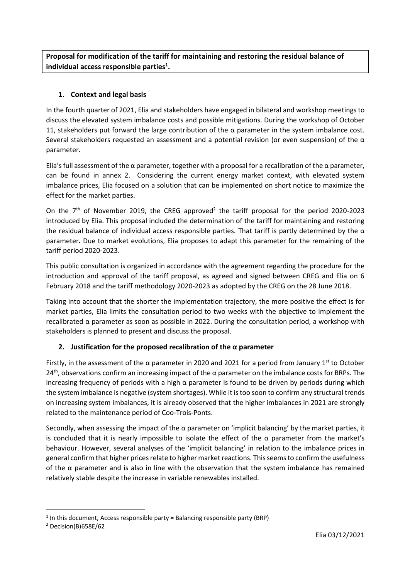**Proposal for modification of the tariff for maintaining and restoring the residual balance of individual access responsible parties<sup>1</sup> .**

### **1. Context and legal basis**

In the fourth quarter of 2021, Elia and stakeholders have engaged in bilateral and workshop meetings to discuss the elevated system imbalance costs and possible mitigations. During the workshop of October 11, stakeholders put forward the large contribution of the  $\alpha$  parameter in the system imbalance cost. Several stakeholders requested an assessment and a potential revision (or even suspension) of the  $\alpha$ parameter.

Elia's full assessment of the α parameter, together with a proposal for a recalibration of the α parameter, can be found in annex 2. Considering the current energy market context, with elevated system imbalance prices, Elia focused on a solution that can be implemented on short notice to maximize the effect for the market parties.

On the  $7<sup>th</sup>$  of November 2019, the CREG approved<sup>2</sup> the tariff proposal for the period 2020-2023 introduced by Elia. This proposal included the determination of the tariff for maintaining and restoring the residual balance of individual access responsible parties. That tariff is partly determined by the  $\alpha$ parameter**.** Due to market evolutions, Elia proposes to adapt this parameter for the remaining of the tariff period 2020-2023.

This public consultation is organized in accordance with the agreement regarding the procedure for the introduction and approval of the tariff proposal, as agreed and signed between CREG and Elia on 6 February 2018 and the tariff methodology 2020-2023 as adopted by the CREG on the 28 June 2018.

Taking into account that the shorter the implementation trajectory, the more positive the effect is for market parties, Elia limits the consultation period to two weeks with the objective to implement the recalibrated α parameter as soon as possible in 2022. During the consultation period, a workshop with stakeholders is planned to present and discuss the proposal.

### **2. Justification for the proposed recalibration of the α parameter**

Firstly, in the assessment of the  $\alpha$  parameter in 2020 and 2021 for a period from January 1<sup>st</sup> to October  $24<sup>th</sup>$ , observations confirm an increasing impact of the  $\alpha$  parameter on the imbalance costs for BRPs. The increasing frequency of periods with a high  $\alpha$  parameter is found to be driven by periods during which the system imbalance is negative (system shortages). While it is too soon to confirm any structural trends on increasing system imbalances, it is already observed that the higher imbalances in 2021 are strongly related to the maintenance period of Coo-Trois-Ponts.

Secondly, when assessing the impact of the  $\alpha$  parameter on 'implicit balancing' by the market parties, it is concluded that it is nearly impossible to isolate the effect of the  $\alpha$  parameter from the market's behaviour. However, several analyses of the 'implicit balancing' in relation to the imbalance prices in general confirm that higher prices relate to higher market reactions. This seems to confirm the usefulness of the  $\alpha$  parameter and is also in line with the observation that the system imbalance has remained relatively stable despite the increase in variable renewables installed.

1

<sup>&</sup>lt;sup>1</sup> In this document, Access responsible party = Balancing responsible party (BRP)

<sup>2</sup> Decision(B)658E/62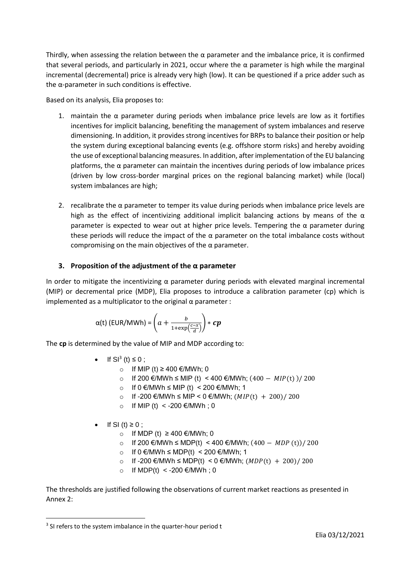Thirdly, when assessing the relation between the  $\alpha$  parameter and the imbalance price, it is confirmed that several periods, and particularly in 2021, occur where the α parameter is high while the marginal incremental (decremental) price is already very high (low). It can be questioned if a price adder such as the α-parameter in such conditions is effective.

Based on its analysis, Elia proposes to:

- 1. maintain the  $\alpha$  parameter during periods when imbalance price levels are low as it fortifies incentives for implicit balancing, benefiting the management of system imbalances and reserve dimensioning. In addition, it provides strong incentives for BRPs to balance their position or help the system during exceptional balancing events (e.g. offshore storm risks) and hereby avoiding the use of exceptional balancing measures. In addition, after implementation of the EU balancing platforms, the  $\alpha$  parameter can maintain the incentives during periods of low imbalance prices (driven by low cross-border marginal prices on the regional balancing market) while (local) system imbalances are high;
- 2. recalibrate the  $\alpha$  parameter to temper its value during periods when imbalance price levels are high as the effect of incentivizing additional implicit balancing actions by means of the  $\alpha$ parameter is expected to wear out at higher price levels. Tempering the  $\alpha$  parameter during these periods will reduce the impact of the  $\alpha$  parameter on the total imbalance costs without compromising on the main objectives of the  $\alpha$  parameter.

#### **3. Proposition of the adjustment of the α parameter**

In order to mitigate the incentivizing  $\alpha$  parameter during periods with elevated marginal incremental (MIP) or decremental price (MDP), Elia proposes to introduce a calibration parameter (cp) which is implemented as a multiplicator to the original  $\alpha$  parameter :

$$
\alpha(t) \left( \text{EUR}/\text{MWh} \right) = \left( a + \frac{b}{1 + \exp\left(\frac{c - x}{d}\right)} \right) * cp
$$

The **cp** is determined by the value of MIP and MDP according to:

- If  $SI^3$  (t)  $\leq 0$ ;
	- o If MIP (t) ≥ 400 €/MWh; 0
	- o If 200 €/MWh ≤ MIP (t) < 400 €/MWh;  $(400 MIP(t) )/ 200$
	- o If 0 €/MWh ≤ MIP (t) < 200 €/MWh; 1
	- o If -200 €/MWh ≤ MIP < 0 €/MWh;  $(MIP(t) + 200)/200$
	- o If MIP (t)  $\lt$  -200 €/MWh; 0
- $\bullet$  If SI (t)  $\geq 0$ ;
	- o If MDP (t)  $≥$  400 €/MWh; 0
	- o If 200 €/MWh ≤ MDP(t) < 400 €/MWh;  $(400 MDP(t))/200$
	- o If 0 €/MWh ≤ MDP(t) < 200 €/MWh; 1
	- o If -200 €/MWh ≤ MDP(t) < 0 €/MWh;  $(MDP(t) + 200)/200$
	- o If MDP(t) < -200 €/MWh; 0

The thresholds are justified following the observations of current market reactions as presented in Annex 2:

 $\ddot{\phantom{a}}$ 

<sup>&</sup>lt;sup>3</sup> SI refers to the system imbalance in the quarter-hour period t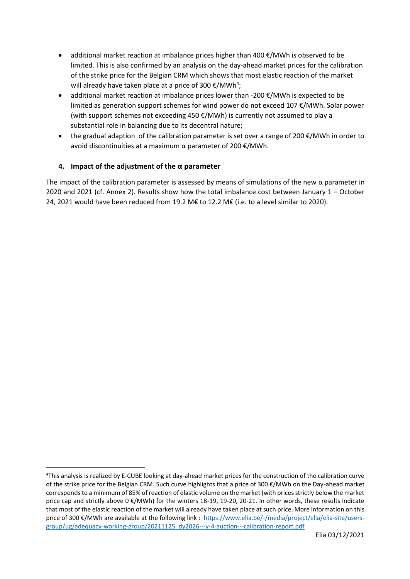- additional market reaction at imbalance prices higher than 400  $\epsilon$ /MWh is observed to be limited. This is also confirmed by an analysis on the day-ahead market prices for the calibration of the strike price for the Belgian CRM which shows that most elastic reaction of the market will already have taken place at a price of 300  $\epsilon$ /MWh<sup>4</sup>;
- additional market reaction at imbalance prices lower than -200  $\epsilon$ /MWh is expected to be limited as generation support schemes for wind power do not exceed 107 €/MWh. Solar power (with support schemes not exceeding 450 €/MWh) is currently not assumed to play a substantial role in balancing due to its decentral nature;
- the gradual adaption of the calibration parameter is set over a range of 200  $\epsilon$ /MWh in order to avoid discontinuities at a maximum  $\alpha$  parameter of 200 €/MWh.

### **4. Impact of the adjustment of the α parameter**

 $\ddot{\phantom{a}}$ 

The impact of the calibration parameter is assessed by means of simulations of the new  $\alpha$  parameter in 2020 and 2021 (cf. Annex 2). Results show how the total imbalance cost between January 1 – October 24, 2021 would have been reduced from 19.2 M€ to 12.2 M€ (i.e. to a level similar to 2020).

<sup>4</sup>This analysis is realized by E-CUBE looking at day-ahead market prices for the construction of the calibration curve of the strike price for the Belgian CRM. Such curve highlights that a price of 300 €/MWh on the Day-ahead market corresponds to a minimum of 85% of reaction of elastic volume on the market (with prices strictly below the market price cap and strictly above 0 €/MWh) for the winters 18-19, 19-20, 20-21. In other words, these results indicate that most of the elastic reaction of the market will already have taken place at such price. More information on this price of 300 €/MWh are available at the following link : [https://www.elia.be/-/media/project/elia/elia-site/users](https://www.elia.be/-/media/project/elia/elia-site/users-group/ug/adequacy-working-group/20211125_dy2026---y-4-auction---calibration-report.pdf)[group/ug/adequacy-working-group/20211125\\_dy2026---y-4-auction---calibration-report.pdf](https://www.elia.be/-/media/project/elia/elia-site/users-group/ug/adequacy-working-group/20211125_dy2026---y-4-auction---calibration-report.pdf)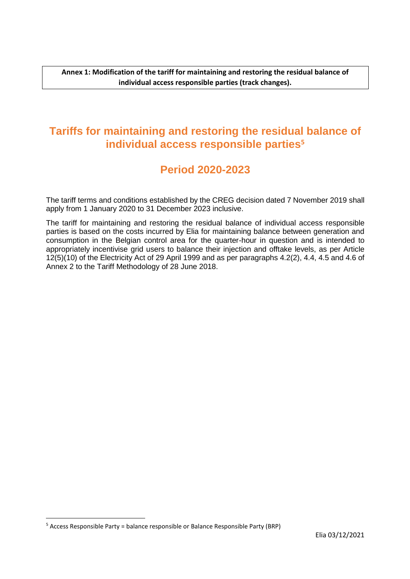**Annex 1: Modification of the tariff for maintaining and restoring the residual balance of individual access responsible parties (track changes).**

### **Tariffs for maintaining and restoring the residual balance of individual access responsible parties<sup>5</sup>**

### **Period 2020-2023**

The tariff terms and conditions established by the CREG decision dated 7 November 2019 shall apply from 1 January 2020 to 31 December 2023 inclusive.

The tariff for maintaining and restoring the residual balance of individual access responsible parties is based on the costs incurred by Elia for maintaining balance between generation and consumption in the Belgian control area for the quarter-hour in question and is intended to appropriately incentivise grid users to balance their injection and offtake levels, as per Article 12(5)(10) of the Electricity Act of 29 April 1999 and as per paragraphs 4.2(2), 4.4, 4.5 and 4.6 of Annex 2 to the Tariff Methodology of 28 June 2018.

 $\ddot{\phantom{a}}$ 

<sup>5</sup> Access Responsible Party = balance responsible or Balance Responsible Party (BRP)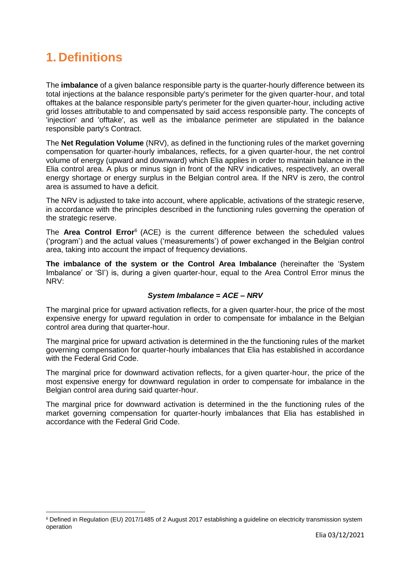# **1. Definitions**

 $\overline{a}$ 

The **imbalance** of a given balance responsible party is the quarter-hourly difference between its total injections at the balance responsible party's perimeter for the given quarter-hour, and total offtakes at the balance responsible party's perimeter for the given quarter-hour, including active grid losses attributable to and compensated by said access responsible party. The concepts of 'injection' and 'offtake', as well as the imbalance perimeter are stipulated in the balance responsible party's Contract.

The **Net Regulation Volume** (NRV), as defined in the functioning rules of the market governing compensation for quarter-hourly imbalances, reflects, for a given quarter-hour, the net control volume of energy (upward and downward) which Elia applies in order to maintain balance in the Elia control area. A plus or minus sign in front of the NRV indicatives, respectively, an overall energy shortage or energy surplus in the Belgian control area. If the NRV is zero, the control area is assumed to have a deficit.

The NRV is adjusted to take into account, where applicable, activations of the strategic reserve, in accordance with the principles described in the functioning rules governing the operation of the strategic reserve.

The **Area Control Error**<sup>6</sup> (ACE) is the current difference between the scheduled values ('program') and the actual values ('measurements') of power exchanged in the Belgian control area, taking into account the impact of frequency deviations.

**The imbalance of the system or the Control Area Imbalance** (hereinafter the 'System Imbalance' or 'SI') is, during a given quarter-hour, equal to the Area Control Error minus the NRV:

#### *System Imbalance = ACE – NRV*

The marginal price for upward activation reflects, for a given quarter-hour, the price of the most expensive energy for upward regulation in order to compensate for imbalance in the Belgian control area during that quarter-hour.

The marginal price for upward activation is determined in the the functioning rules of the market governing compensation for quarter-hourly imbalances that Elia has established in accordance with the Federal Grid Code.

The marginal price for downward activation reflects, for a given quarter-hour, the price of the most expensive energy for downward regulation in order to compensate for imbalance in the Belgian control area during said quarter-hour.

The marginal price for downward activation is determined in the the functioning rules of the market governing compensation for quarter-hourly imbalances that Elia has established in accordance with the Federal Grid Code.

<sup>6</sup> Defined in Regulation (EU) 2017/1485 of 2 August 2017 establishing a guideline on electricity transmission system operation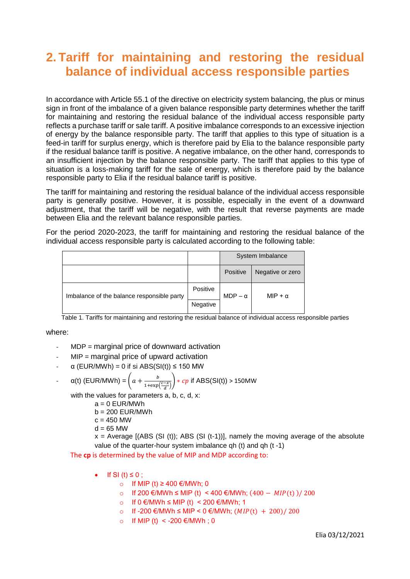## **2. Tariff for maintaining and restoring the residual balance of individual access responsible parties**

In accordance with Article 55.1 of the directive on electricity system balancing, the plus or minus sign in front of the imbalance of a given balance responsible party determines whether the tariff for maintaining and restoring the residual balance of the individual access responsible party reflects a purchase tariff or sale tariff. A positive imbalance corresponds to an excessive injection of energy by the balance responsible party. The tariff that applies to this type of situation is a feed-in tariff for surplus energy, which is therefore paid by Elia to the balance responsible party if the residual balance tariff is positive. A negative imbalance, on the other hand, corresponds to an insufficient injection by the balance responsible party. The tariff that applies to this type of situation is a loss-making tariff for the sale of energy, which is therefore paid by the balance responsible party to Elia if the residual balance tariff is positive.

The tariff for maintaining and restoring the residual balance of the individual access responsible party is generally positive. However, it is possible, especially in the event of a downward adjustment, that the tariff will be negative, with the result that reverse payments are made between Elia and the relevant balance responsible parties.

For the period 2020-2023, the tariff for maintaining and restoring the residual balance of the individual access responsible party is calculated according to the following table:

|                                            |          | System Imbalance |                  |
|--------------------------------------------|----------|------------------|------------------|
|                                            |          | Positive         | Negative or zero |
| Imbalance of the balance responsible party | Positive | $MDP - \alpha$   | MIP + $\alpha$   |
|                                            | Negative |                  |                  |

Table 1. Tariffs for maintaining and restoring the residual balance of individual access responsible parties

#### where:

- $MDP =$  marginal price of downward activation
- $MIP$  = marginal price of upward activation
- $\alpha$  (EUR/MWh) = 0 if si ABS(SI(t)) ≤ 150 MW

- 
$$
\alpha(t)
$$
 (EUR/MWh) =  $\left(a + \frac{b}{1 + \exp(\frac{c - x}{d})}\right) * cp$  if ABS(SI(t)) > 150MW

with the values for parameters a, b, c, d, x:

- $a = 0$  EUR/MWh
- $b = 200$  EUR/MWh
- $c = 450$  MW
- $d = 65$  MW

 $x =$  Average  $[(ABS (SI (t)))]$ ; ABS  $(SI (t-1))]$ , namely the moving average of the absolute value of the quarter-hour system imbalance qh (t) and qh (t -1)

The **cp** is determined by the value of MIP and MDP according to:

- $\bullet$  If SI (t)  $\leq$  0;
	- o If MIP (t) ≥ 400 €/MWh; 0
	- o If 200 €/MWh ≤ MIP (t) < 400 €/MWh;  $(400 MIP(t) )/ 200$
	- o If 0 €/MWh  $\leq$  MIP (t)  $\leq$  200 €/MWh; 1
	- o If -200 €/MWh ≤ MIP < 0 €/MWh;  $(MIP(t) + 200) / 200$
	- o If MIP (t)  $\lt$  -200 €/MWh : 0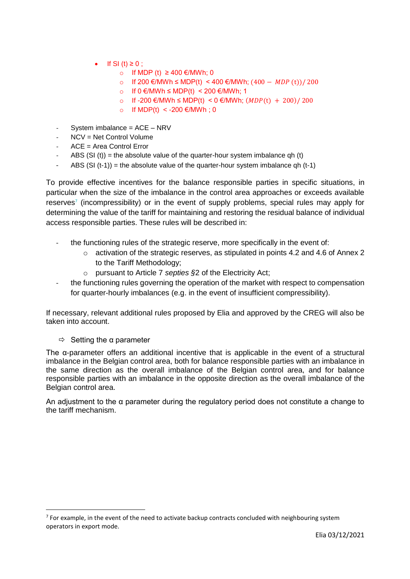- If SI (t)  $\geq 0$  ;
	- o If MDP (t)  $≥$  400 €/MWh; 0
	- o If 200 €/MWh ≤ MDP(t) < 400 €/MWh;  $(400 MDP(t))/200$
	- o If 0 €/MWh ≤ MDP(t) < 200 €/MWh; 1
	- o If -200 €/MWh ≤ MDP(t) < 0 €/MWh;  $(MDP(t) + 200) / 200$
	- o If MDP(t) < -200 €/MWh; 0
- System imbalance = ACE NRV
- $NCV = Net Control Volume$
- $ACE = Area$  Control Error
- ABS (SI (t)) = the absolute value of the quarter-hour system imbalance qh (t)
- ABS  $(SI (t-1))$  = the absolute value of the quarter-hour system imbalance qh  $(t-1)$

To provide effective incentives for the balance responsible parties in specific situations, in particular when the size of the imbalance in the control area approaches or exceeds available reserves<sup>7</sup> (incompressibility) or in the event of supply problems, special rules may apply for determining the value of the tariff for maintaining and restoring the residual balance of individual access responsible parties. These rules will be described in:

- the functioning rules of the strategic reserve, more specifically in the event of:
	- $\circ$  activation of the strategic reserves, as stipulated in points 4.2 and 4.6 of Annex 2 to the Tariff Methodology;
	- o pursuant to Article 7 *septies §*2 of the Electricity Act;
- the functioning rules governing the operation of the market with respect to compensation for quarter-hourly imbalances (e.g. in the event of insufficient compressibility).

If necessary, relevant additional rules proposed by Elia and approved by the CREG will also be taken into account.

 $\Rightarrow$  Setting the a parameter

1

The α-parameter offers an additional incentive that is applicable in the event of a structural imbalance in the Belgian control area, both for balance responsible parties with an imbalance in the same direction as the overall imbalance of the Belgian control area, and for balance responsible parties with an imbalance in the opposite direction as the overall imbalance of the Belgian control area.

An adjustment to the α parameter during the regulatory period does not constitute a change to the tariff mechanism.

 $7$  For example, in the event of the need to activate backup contracts concluded with neighbouring system operators in export mode.